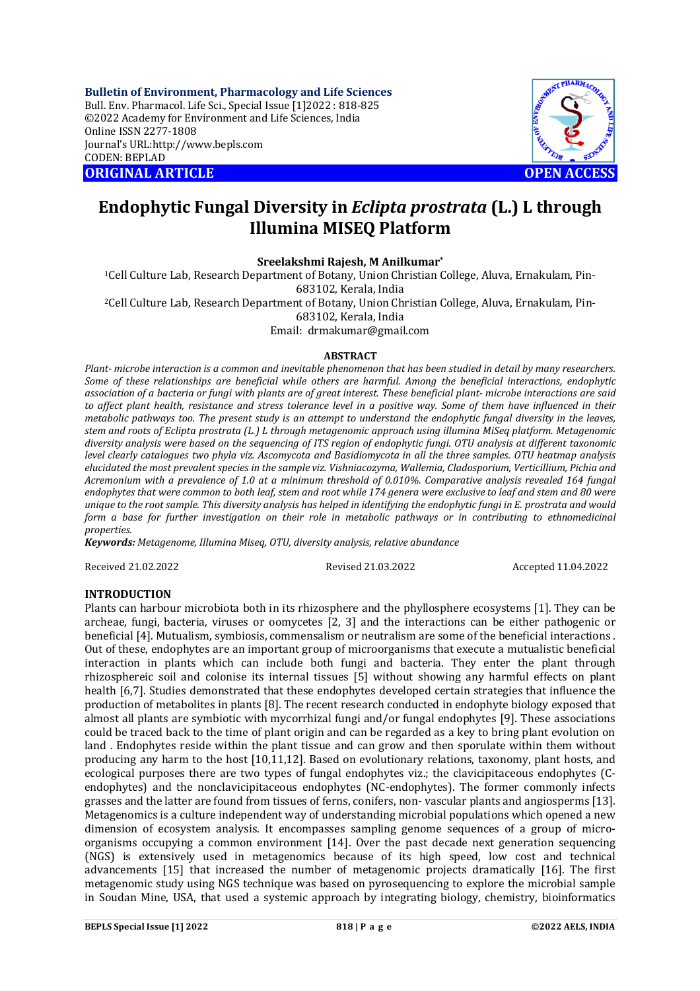**Bulletin of Environment, Pharmacology and Life Sciences** Bull. Env. Pharmacol. Life Sci., Special Issue [1]2022 : 818-825 ©2022 Academy for Environment and Life Sciences, India Online ISSN 2277-1808 Journal's URL:<http://www.bepls.com> CODEN: BEPLAD **ORIGINAL ARTICLE OPEN ACCESS** 



# **Endophytic Fungal Diversity in** *Eclipta prostrata* **(L.) L through Illumina MISEQ Platform**

**Sreelakshmi Rajesh, M Anilkumar\***

1Cell Culture Lab, Research Department of Botany, Union Christian College, Aluva, Ernakulam, Pin-683102, Kerala, India 2Cell Culture Lab, Research Department of Botany, Union Christian College, Aluva, Ernakulam, Pin-683102, Kerala, India

Email: [drmakumar@gmail.com](mailto:drmakumar@gmail.com)

#### **ABSTRACT**

*Plant- microbe interaction is a common and inevitable phenomenon that has been studied in detail by many researchers. Some of these relationships are beneficial while others are harmful. Among the beneficial interactions, endophytic association of a bacteria or fungi with plants are of great interest. These beneficial plant- microbe interactions are said to affect plant health, resistance and stress tolerance level in a positive way. Some of them have influenced in their metabolic pathways too. The present study is an attempt to understand the endophytic fungal diversity in the leaves, stem and roots of Eclipta prostrata (L.) L through metagenomic approach using illumina MiSeq platform. Metagenomic diversity analysis were based on the sequencing of ITS region of endophytic fungi. OTU analysis at different taxonomic level clearly catalogues two phyla viz. Ascomycota and Basidiomycota in all the three samples. OTU heatmap analysis elucidated the most prevalent species in the sample viz. Vishniacozyma, Wallemia, Cladosporium, Verticillium, Pichia and Acremonium with a prevalence of 1.0 at a minimum threshold of 0.010%. Comparative analysis revealed 164 fungal endophytes that were common to both leaf, stem and root while 174 genera were exclusive to leaf and stem and 80 were unique to the root sample. This diversity analysis has helped in identifying the endophytic fungi in E. prostrata and would form a base for further investigation on their role in metabolic pathways or in contributing to ethnomedicinal properties.*

*Keywords: Metagenome, Illumina Miseq, OTU, diversity analysis, relative abundance*

Received 21.02.2022 Revised 21.03.2022 Accepted 11.04.2022

#### **INTRODUCTION**

Plants can harbour microbiota both in its rhizosphere and the phyllosphere ecosystems [1]. They can be archeae, fungi, bacteria, viruses or oomycetes [2, 3] and the interactions can be either pathogenic or beneficial [4]. Mutualism, symbiosis, commensalism or neutralism are some of the beneficial interactions . Out of these, endophytes are an important group of microorganisms that execute a mutualistic beneficial interaction in plants which can include both fungi and bacteria. They enter the plant through rhizosphereic soil and colonise its internal tissues [5] without showing any harmful effects on plant health [6,7]. Studies demonstrated that these endophytes developed certain strategies that influence the production of metabolites in plants [8]. The recent research conducted in endophyte biology exposed that almost all plants are symbiotic with mycorrhizal fungi and/or fungal endophytes [9]. These associations could be traced back to the time of plant origin and can be regarded as a key to bring plant evolution on land . Endophytes reside within the plant tissue and can grow and then sporulate within them without producing any harm to the host [10,11,12]. Based on evolutionary relations, taxonomy, plant hosts, and ecological purposes there are two types of fungal endophytes viz.; the clavicipitaceous endophytes (Cendophytes) and the nonclavicipitaceous endophytes (NC-endophytes). The former commonly infects grasses and the latter are found from tissues of ferns, conifers, non- vascular plants and angiosperms [13]. Metagenomics is a culture independent way of understanding microbial populations which opened a new dimension of ecosystem analysis. It encompasses sampling genome sequences of a group of microorganisms occupying a common environment [14]. Over the past decade next generation sequencing (NGS) is extensively used in metagenomics because of its high speed, low cost and technical advancements [15] that increased the number of metagenomic projects dramatically [16]. The first metagenomic study using NGS technique was based on pyrosequencing to explore the microbial sample in Soudan Mine, USA, that used a systemic approach by integrating biology, chemistry, bioinformatics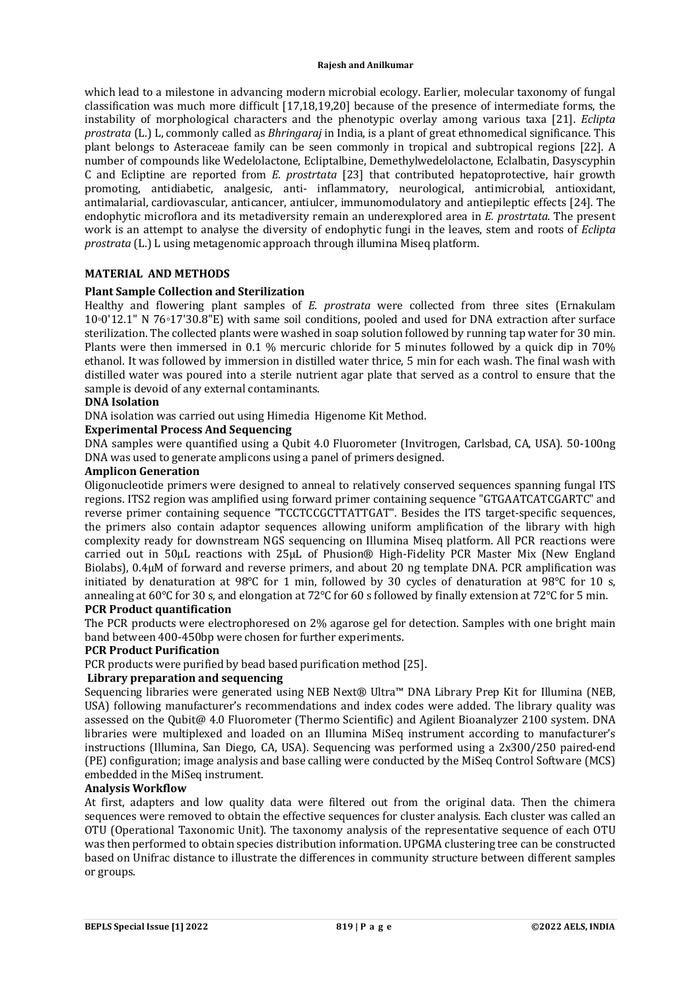which lead to a milestone in advancing modern microbial ecology. Earlier, molecular taxonomy of fungal classification was much more difficult [17,18,19,20] because of the presence of intermediate forms, the instability of morphological characters and the phenotypic overlay among various taxa [21]. *Eclipta prostrata* (L.) L, commonly called as *Bhringaraj* in India, is a plant of great ethnomedical significance. This plant belongs to Asteraceae family can be seen commonly in tropical and subtropical regions [22]. A number of compounds like Wedelolactone, Ecliptalbine, Demethylwedelolactone, Eclalbatin, Dasyscyphin C and Ecliptine are reported from *E. prostrtata* [23] that contributed hepatoprotective, hair growth promoting, antidiabetic, analgesic, anti- inflammatory, neurological, antimicrobial, antioxidant, antimalarial, cardiovascular, anticancer, antiulcer, immunomodulatory and antiepileptic effects [24]. The endophytic microflora and its metadiversity remain an underexplored area in *E. prostrtata*. The present work is an attempt to analyse the diversity of endophytic fungi in the leaves, stem and roots of *Eclipta prostrata* (L.) L using metagenomic approach through illumina Miseq platform.

## **MATERIAL AND METHODS**

## **Plant Sample Collection and Sterilization**

Healthy and flowering plant samples of *E. prostrata* were collected from three sites (Ernakulam 10◦0'12.1" N 76◦17'30.8"E) with same soil conditions, pooled and used for DNA extraction after surface sterilization. The collected plants were washed in soap solution followed by running tap water for 30 min. Plants were then immersed in 0.1 % mercuric chloride for 5 minutes followed by a quick dip in 70% ethanol. It was followed by immersion in distilled water thrice, 5 min for each wash. The final wash with distilled water was poured into a sterile nutrient agar plate that served as a control to ensure that the sample is devoid of any external contaminants.

#### **DNA Isolation**

DNA isolation was carried out using Himedia Higenome Kit Method.

## **Experimental Process And Sequencing**

DNA samples were quantified using a Qubit 4.0 Fluorometer (Invitrogen, Carlsbad, CA, USA). 50-100ng DNA was used to generate amplicons using a panel of primers designed.

## **Amplicon Generation**

Oligonucleotide primers were designed to anneal to relatively conserved sequences spanning fungal ITS regions. ITS2 region was amplified using forward primer containing sequence "GTGAATCATCGARTC" and reverse primer containing sequence "TCCTCCGCTTATTGAT". Besides the ITS target-specific sequences, the primers also contain adaptor sequences allowing uniform amplification of the library with high complexity ready for downstream NGS sequencing on Illumina Miseq platform. All PCR reactions were carried out in 50μL reactions with 25μL of Phusion® High-Fidelity PCR Master Mix (New England Biolabs), 0.4μM of forward and reverse primers, and about 20 ng template DNA. PCR amplification was initiated by denaturation at 98℃ for 1 min, followed by 30 cycles of denaturation at 98℃ for 10 s, annealing at 60℃ for 30 s, and elongation at 72℃ for 60 s followed by finally extension at 72℃ for 5 min.

#### **PCR Product quantification**

The PCR products were electrophoresed on 2% agarose gel for detection. Samples with one bright main band between 400-450bp were chosen for further experiments.

#### **PCR Product Purification**

PCR products were purified by bead based purification method [25].

## **Library preparation and sequencing**

Sequencing libraries were generated using NEB Next® Ultra™ DNA Library Prep Kit for Illumina (NEB, USA) following manufacturer's recommendations and index codes were added. The library quality was assessed on the Qubit@ 4.0 Fluorometer (Thermo Scientific) and Agilent Bioanalyzer 2100 system. DNA libraries were multiplexed and loaded on an Illumina MiSeq instrument according to manufacturer's instructions (Illumina, San Diego, CA, USA). Sequencing was performed using a 2x300/250 paired-end (PE) configuration; image analysis and base calling were conducted by the MiSeq Control Software (MCS) embedded in the MiSeq instrument.

#### **Analysis Workflow**

At first, adapters and low quality data were filtered out from the original data. Then the chimera sequences were removed to obtain the effective sequences for cluster analysis. Each cluster was called an OTU (Operational Taxonomic Unit). The taxonomy analysis of the representative sequence of each OTU was then performed to obtain species distribution information. UPGMA clustering tree can be constructed based on Unifrac distance to illustrate the differences in community structure between different samples or groups.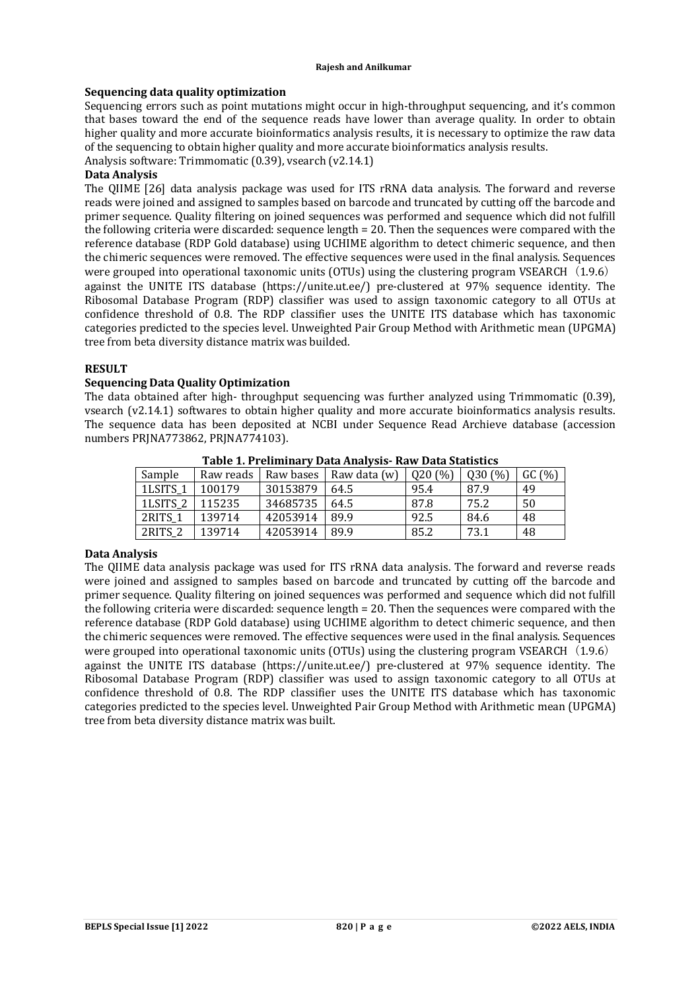## **Sequencing data quality optimization**

Sequencing errors such as point mutations might occur in high-throughput sequencing, and it's common that bases toward the end of the sequence reads have lower than average quality. In order to obtain higher quality and more accurate bioinformatics analysis results, it is necessary to optimize the raw data of the sequencing to obtain higher quality and more accurate bioinformatics analysis results.

Analysis software: Trimmomatic (0.39), vsearch (v2.14.1)

## **Data Analysis**

The QIIME [26] data analysis package was used for ITS rRNA data analysis. The forward and reverse reads were joined and assigned to samples based on barcode and truncated by cutting off the barcode and primer sequence. Quality filtering on joined sequences was performed and sequence which did not fulfill the following criteria were discarded: sequence length = 20. Then the sequences were compared with the reference database (RDP Gold database) using UCHIME algorithm to detect chimeric sequence, and then the chimeric sequences were removed. The effective sequences were used in the final analysis. Sequences were grouped into operational taxonomic units (OTUs) using the clustering program VSEARCH (1.9.6) against the UNITE ITS database ([https://unite.ut.ee/\)](https://unite.ut.ee/)) pre-clustered at 97% sequence identity. The Ribosomal Database Program (RDP) classifier was used to assign taxonomic category to all OTUs at confidence threshold of 0.8. The RDP classifier uses the UNITE ITS database which has taxonomic categories predicted to the species level. Unweighted Pair Group Method with Arithmetic mean (UPGMA) tree from beta diversity distance matrix was builded.

## **RESULT**

## **Sequencing Data Quality Optimization**

The data obtained after high- throughput sequencing was further analyzed using Trimmomatic (0.39), vsearch (v2.14.1) softwares to obtain higher quality and more accurate bioinformatics analysis results. The sequence data has been deposited at NCBI under Sequence Read Archieve database (accession numbers PRJNA773862, PRJNA774103).

| Sample              | Raw reads | Raw bases | Raw data (w) | Q20(%) | Q30(%) | GC(%) |
|---------------------|-----------|-----------|--------------|--------|--------|-------|
| 1LSITS <sub>1</sub> | 100179    | 30153879  | 64.5         | 95.4   | 87.9   | 49    |
| 1LSITS <sub>2</sub> | 115235    | 34685735  | 64.5         | 87.8   | 75.2   | -50   |
| 2RITS <sub>1</sub>  | 139714    | 42053914  | 89.9         | 92.5   | 84.6   | 48    |
| 2RITS <sub>2</sub>  | 139714    | 42053914  | 89.9         | 85.2   | 73.1   | 48    |

**Table 1. Preliminary Data Analysis- Raw Data Statistics**

## **Data Analysis**

The QIIME data analysis package was used for ITS rRNA data analysis. The forward and reverse reads were joined and assigned to samples based on barcode and truncated by cutting off the barcode and primer sequence. Quality filtering on joined sequences was performed and sequence which did not fulfill the following criteria were discarded: sequence length = 20. Then the sequences were compared with the reference database (RDP Gold database) using UCHIME algorithm to detect chimeric sequence, and then the chimeric sequences were removed. The effective sequences were used in the final analysis. Sequences were grouped into operational taxonomic units (OTUs) using the clustering program VSEARCH  $(1.9.6)$ against the UNITE ITS database ([https://unite.ut.ee/\)](https://unite.ut.ee/)) pre-clustered at 97% sequence identity. The Ribosomal Database Program (RDP) classifier was used to assign taxonomic category to all OTUs at confidence threshold of 0.8. The RDP classifier uses the UNITE ITS database which has taxonomic categories predicted to the species level. Unweighted Pair Group Method with Arithmetic mean (UPGMA) tree from beta diversity distance matrix was built.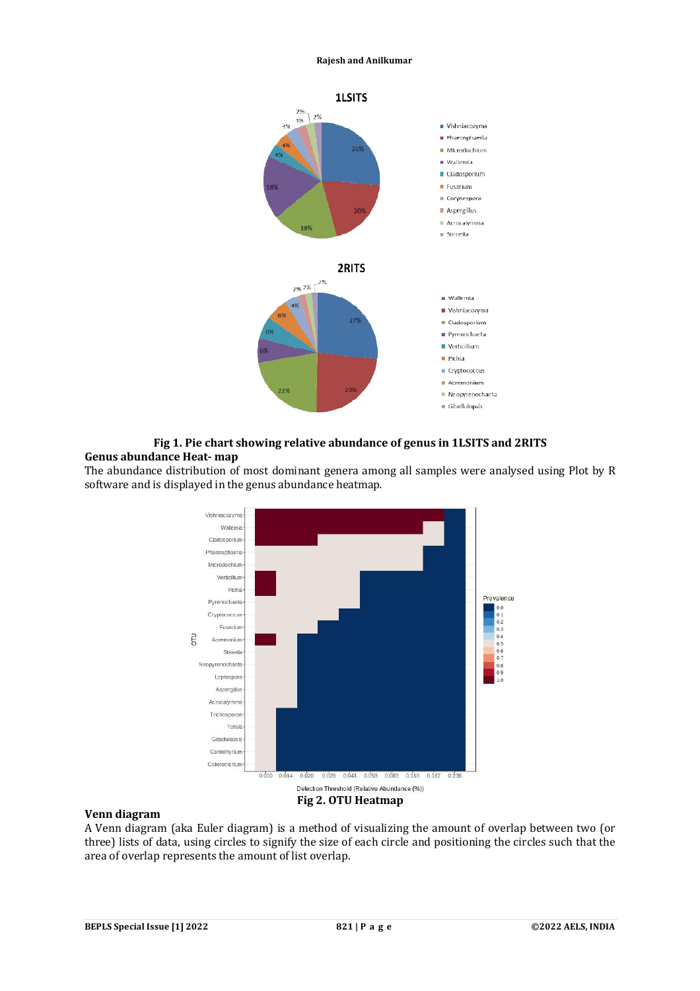

### **Fig 1. Pie chart showing relative abundance of genus in 1LSITS and 2RITS Genus abundance Heat- map**

The abundance distribution of most dominant genera among all samples were analysed using Plot by R software and is displayed in the genus abundance heatmap*.*



#### **Venn diagram**

A Venn diagram (aka Euler diagram) is a method of visualizing the amount of overlap between two (or three) lists of data, using circles to signify the size of each circle and positioning the circles such that the area of overlap represents the amount of list overlap.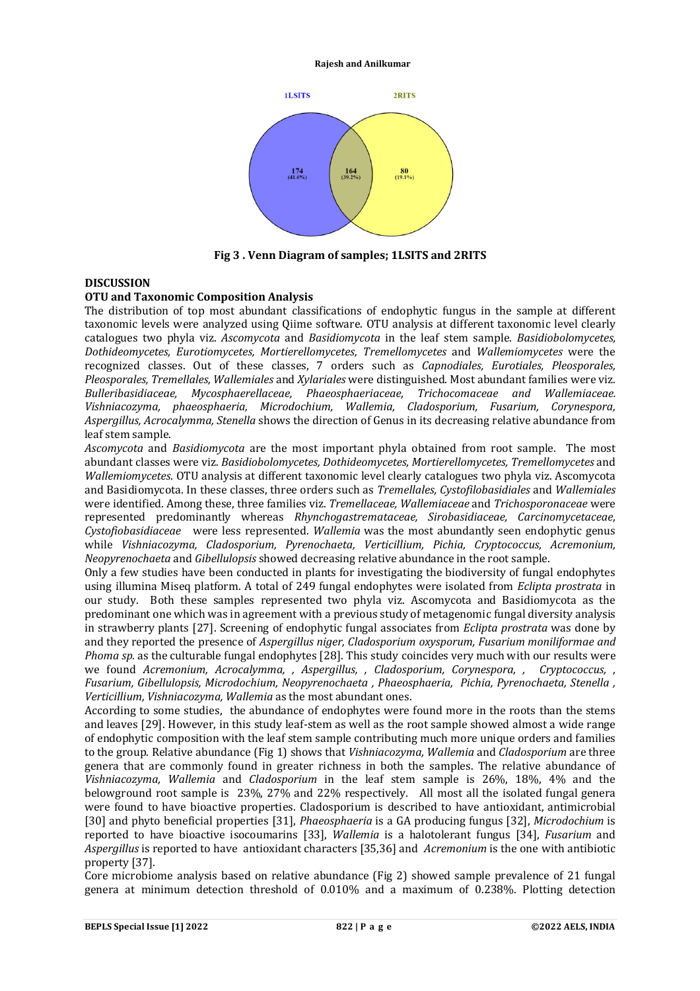

**Fig 3 . Venn Diagram of samples; 1LSITS and 2RITS**

## **DISCUSSION**

#### **OTU and Taxonomic Composition Analysis**

The distribution of top most abundant classifications of endophytic fungus in the sample at different taxonomic levels were analyzed using Qiime software. OTU analysis at different taxonomic level clearly catalogues two phyla viz. *Ascomycota* and *Basidiomycota* in the leaf stem sample. *Basidiobolomycetes, Dothideomycetes, Eurotiomycetes, Mortierellomycetes, Tremellomycetes* and *Wallemiomycetes* were the recognized classes. Out of these classes, 7 orders such as *Capnodiales, Eurotiales, Pleosporales, Pleosporales, Tremellales, Wallemiales* and *Xylariales* were distinguished. Most abundant families were viz. *Bulleribasidiaceae, Mycosphaerellaceae, Phaeosphaeriaceae, Trichocomaceae and Wallemiaceae. Vishniacozyma, phaeosphaeria, Microdochium, Wallemia, Cladosporium, Fusarium, Corynespora, Aspergillus, Acrocalymma, Stenella* shows the direction of Genus in its decreasing relative abundance from leaf stem sample.

*Ascomycota* and *Basidiomycota* are the most important phyla obtained from root sample. The most abundant classes were viz. *Basidiobolomycetes, Dothideomycetes, Mortierellomycetes, Tremellomycetes* and *Wallemiomycetes*. OTU analysis at different taxonomic level clearly catalogues two phyla viz. Ascomycota and Basidiomycota. In these classes, three orders such as *Tremellales, Cystofilobasidiales* and *Wallemiales*  were identified. Among these, three families viz. *Tremellaceae, Wallemiaceae* and *Trichosporonaceae* were represented predominantly whereas *Rhynchogastremataceae, Sirobasidiaceae, Carcinomycetaceae, Cystofiobasidiaceae* were less represented. *Wallemia* was the most abundantly seen endophytic genus while *Vishniacozyma, Cladosporium, Pyrenochaeta, Verticillium, Pichia, Cryptococcus, Acremonium, Neopyrenochaeta* and *Gibellulopsis* showed decreasing relative abundance in the root sample.

Only a few studies have been conducted in plants for investigating the biodiversity of fungal endophytes using illumina Miseq platform. A total of 249 fungal endophytes were isolated from *Eclipta prostrata* in our study. Both these samples represented two phyla viz. Ascomycota and Basidiomycota as the predominant one which was in agreement with a previous study of metagenomic fungal diversity analysis in strawberry plants [27]. Screening of endophytic fungal associates from *Eclipta prostrata* was done by and they reported the presence of *Aspergillus niger, Cladosporium oxysporum, Fusarium moniliformae and Phoma sp.* as the culturable fungal endophytes [28]. This study coincides very much with our results were we found *Acremonium, Acrocalymma, , Aspergillus, , Cladosporium, Corynespora, , Cryptococcus, , Fusarium, Gibellulopsis, Microdochium, Neopyrenochaeta , Phaeosphaeria, Pichia, Pyrenochaeta, Stenella , Verticillium, Vishniacozyma, Wallemia* as the most abundant ones.

According to some studies, the abundance of endophytes were found more in the roots than the stems and leaves [29]. However, in this study leaf-stem as well as the root sample showed almost a wide range of endophytic composition with the leaf stem sample contributing much more unique orders and families to the group. Relative abundance (Fig 1) shows that *Vishniacozyma, Wallemia* and *Cladosporium* are three genera that are commonly found in greater richness in both the samples. The relative abundance of *Vishniacozyma, Wallemia* and *Cladosporium* in the leaf stem sample is 26%, 18%, 4% and the belowground root sample is 23%, 27% and 22% respectively. All most all the isolated fungal genera were found to have bioactive properties. Cladosporium is described to have antioxidant, antimicrobial [30] and phyto beneficial properties [31], *Phaeosphaeria* is a GA producing fungus [32], *Microdochium* is reported to have bioactive isocoumarins [33], *Wallemia* is a halotolerant fungus [34], *Fusarium* and *Aspergillus* is reported to have antioxidant characters [35,36] and *Acremonium* is the one with antibiotic property [37].

Core microbiome analysis based on relative abundance (Fig 2) showed sample prevalence of 21 fungal genera at minimum detection threshold of 0.010% and a maximum of 0.238%. Plotting detection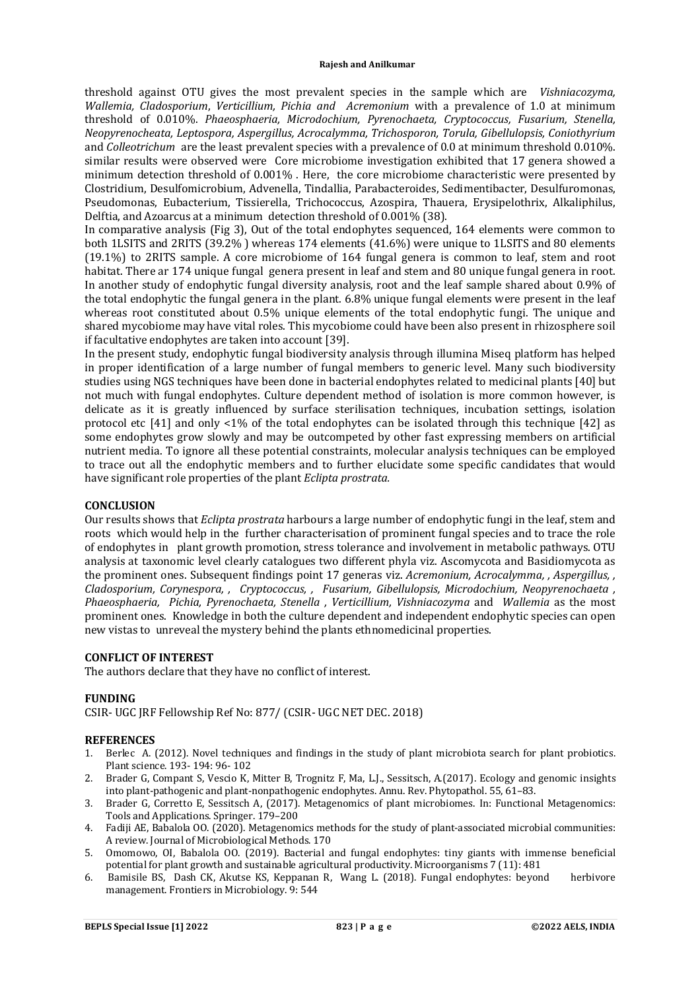threshold against OTU gives the most prevalent species in the sample which are *Vishniacozyma, Wallemia, Cladosporium*, *Verticillium, Pichia and Acremonium* with a prevalence of 1.0 at minimum threshold of 0.010%. *Phaeosphaeria, Microdochium, Pyrenochaeta, Cryptococcus, Fusarium, Stenella, Neopyrenocheata, Leptospora, Aspergillus, Acrocalymma, Trichosporon, Torula, Gibellulopsis, Coniothyrium* and *Colleotrichum* are the least prevalent species with a prevalence of 0.0 at minimum threshold 0.010%. similar results were observed were Core microbiome investigation exhibited that 17 genera showed a minimum detection threshold of 0.001% . Here, the core microbiome characteristic were presented by Clostridium, Desulfomicrobium, Advenella, Tindallia, Parabacteroides, Sedimentibacter, Desulfuromonas, Pseudomonas, Eubacterium, Tissierella, Trichococcus, Azospira, Thauera, Erysipelothrix, Alkaliphilus, Delftia, and Azoarcus at a minimum detection threshold of 0.001% (38).

In comparative analysis (Fig 3), Out of the total endophytes sequenced, 164 elements were common to both 1LSITS and 2RITS (39.2% ) whereas 174 elements (41.6%) were unique to 1LSITS and 80 elements (19.1%) to 2RITS sample. A core microbiome of 164 fungal genera is common to leaf, stem and root habitat. There ar 174 unique fungal genera present in leaf and stem and 80 unique fungal genera in root. In another study of endophytic fungal diversity analysis, root and the leaf sample shared about 0.9% of the total endophytic the fungal genera in the plant. 6.8% unique fungal elements were present in the leaf whereas root constituted about 0.5% unique elements of the total endophytic fungi. The unique and shared mycobiome may have vital roles. This mycobiome could have been also present in rhizosphere soil if facultative endophytes are taken into account [39].

In the present study, endophytic fungal biodiversity analysis through illumina Miseq platform has helped in proper identification of a large number of fungal members to generic level. Many such biodiversity studies using NGS techniques have been done in bacterial endophytes related to medicinal plants [40] but not much with fungal endophytes. Culture dependent method of isolation is more common however, is delicate as it is greatly influenced by surface sterilisation techniques, incubation settings, isolation protocol etc [41] and only <1% of the total endophytes can be isolated through this technique [42] as some endophytes grow slowly and may be outcompeted by other fast expressing members on artificial nutrient media. To ignore all these potential constraints, molecular analysis techniques can be employed to trace out all the endophytic members and to further elucidate some specific candidates that would have significant role properties of the plant *Eclipta prostrata.* 

#### **CONCLUSION**

Our results shows that *Eclipta prostrata* harbours a large number of endophytic fungi in the leaf, stem and roots which would help in the further characterisation of prominent fungal species and to trace the role of endophytes in plant growth promotion, stress tolerance and involvement in metabolic pathways. OTU analysis at taxonomic level clearly catalogues two different phyla viz. Ascomycota and Basidiomycota as the prominent ones. Subsequent findings point 17 generas viz. *Acremonium, Acrocalymma, , Aspergillus, , Cladosporium, Corynespora, , Cryptococcus, , Fusarium, Gibellulopsis, Microdochium, Neopyrenochaeta , Phaeosphaeria, Pichia, Pyrenochaeta, Stenella , Verticillium, Vishniacozyma* and *Wallemia* as the most prominent ones. Knowledge in both the culture dependent and independent endophytic species can open new vistas to unreveal the mystery behind the plants ethnomedicinal properties.

#### **CONFLICT OF INTEREST**

The authors declare that they have no conflict of interest.

#### **FUNDING**

CSIR- UGC JRF Fellowship Ref No: 877/ (CSIR- UGC NET DEC. 2018)

#### **REFERENCES**

- 1. Berlec A. (2012). Novel techniques and findings in the study of plant microbiota search for plant probiotics. Plant science. 193- 194: 96- 102
- 2. Brader G, Compant S, Vescio K, Mitter B, Trognitz F, Ma, L.J., Sessitsch, A.(2017). Ecology and genomic insights into plant-pathogenic and plant-nonpathogenic endophytes. Annu. Rev. Phytopathol. 55, 61–83.
- 3. Brader G, Corretto E, Sessitsch A, (2017). Metagenomics of plant microbiomes. In: Functional Metagenomics: Tools and Applications. Springer. 179–200
- 4. Fadiji AE, Babalola OO. (2020). Metagenomics methods for the study of plant-associated microbial communities: A review. Journal of Microbiological Methods. 170
- 5. Omomowo, OI, Babalola OO. (2019). Bacterial and fungal endophytes: tiny giants with immense beneficial potential for plant growth and sustainable agricultural productivity. Microorganisms 7 (11): 481
- 6. Bamisile BS, Dash CK, Akutse KS, Keppanan R, Wang L. (2018). Fungal endophytes: beyond herbivore management. Frontiers in Microbiology. 9: 544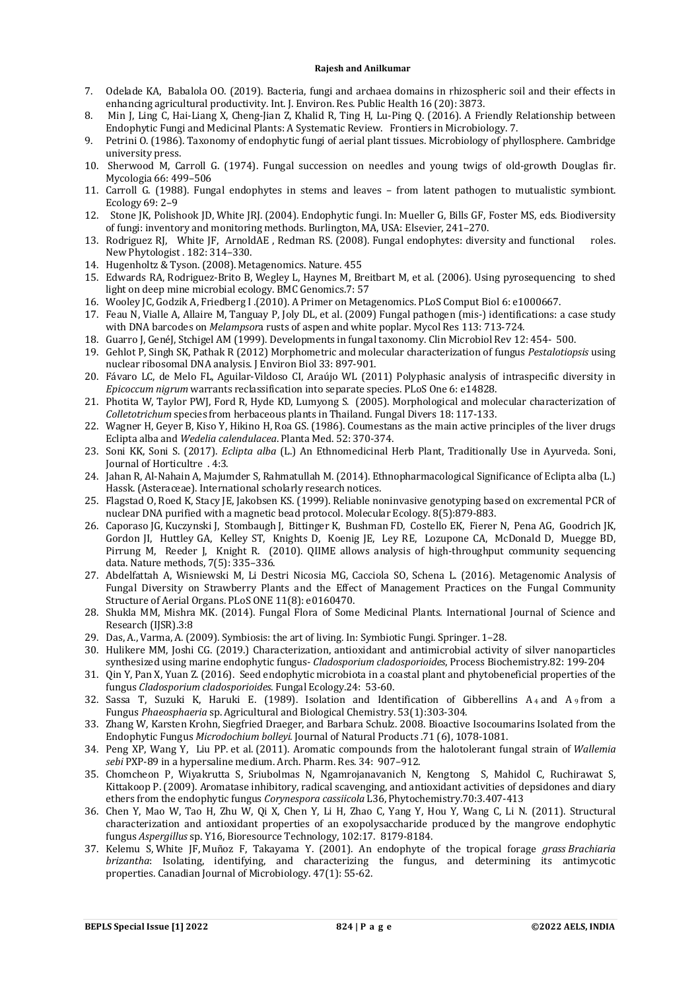- 7. Odelade KA, Babalola OO. (2019). Bacteria, fungi and archaea domains in rhizospheric soil and their effects in enhancing agricultural productivity. Int. J. Environ. Res. Public Health 16 (20): 3873.
- 8. Min J, Ling C, Hai-Liang X, Cheng-Jian Z, Khalid R, Ting H, Lu-Ping Q. (2016). A Friendly Relationship between Endophytic Fungi and Medicinal Plants: A Systematic Review. Frontiers in Microbiology. 7.
- 9. Petrini O. (1986). Taxonomy of endophytic fungi of aerial plant tissues. Microbiology of phyllosphere. Cambridge university press.
- 10. Sherwood M, Carroll G. (1974). Fungal succession on needles and young twigs of old-growth Douglas fir. Mycologia 66: 499–506
- 11. Carroll G. (1988). Fungal endophytes in stems and leaves from latent pathogen to mutualistic symbiont. Ecology 69: 2–9
- 12. Stone JK, Polishook JD, White JRJ. (2004). Endophytic fungi. In: Mueller G, Bills GF, Foster MS, eds. Biodiversity of fungi: inventory and monitoring methods. Burlington, MA, USA: Elsevier, 241–270.
- 13. Rodriguez RJ, White JF, ArnoldAE , Redman RS. (2008). Fungal endophytes: diversity and functional roles. New Phytologist . 182: 314–330.
- 14. Hugenholtz & Tyson. (2008). Metagenomics. Nature. 455
- 15. Edwards RA, Rodriguez-Brito B, Wegley L, Haynes M, Breitbart M, et al. (2006). Using pyrosequencing to shed light on deep mine microbial ecology. BMC Genomics.7: 57
- 16. Wooley JC, Godzik A, Friedberg I .(2010). A Primer on Metagenomics. PLoS Comput Biol 6: e1000667.
- 17. Feau N, Vialle A, Allaire M, Tanguay P, Joly DL, et al. (2009) Fungal pathogen (mis-) identifications: a case study with DNA barcodes on *Melampsor*a rusts of aspen and white poplar. Mycol Res 113: 713-724.
- 18. Guarro J, GenéJ, Stchigel AM (1999). Developments in fungal taxonomy. Clin Microbiol Rev 12: 454- 500.
- 19. Gehlot P, Singh SK, Pathak R (2012) Morphometric and molecular characterization of fungus *Pestalotiopsis* using nuclear ribosomal DNA analysis. J Environ Biol 33: 897-901.
- 20. Fávaro LC, de Melo FL, Aguilar-Vildoso CI, Araújo WL (2011) Polyphasic analysis of intraspecific diversity in *Epicoccum nigrum* warrants reclassification into separate species. PLoS One 6: e14828.
- 21. Photita W, Taylor PWJ, Ford R, Hyde KD, Lumyong S. (2005). Morphological and molecular characterization of *Colletotrichum* species from herbaceous plants in Thailand. Fungal Divers 18: 117-133.
- 22. Wagner H, Geyer B, Kiso Y, Hikino H, Roa GS. (1986). Coumestans as the main active principles of the liver drugs Eclipta alba and *Wedelia calendulacea*. Planta Med. 52: 370-374.
- 23. Soni KK, Soni S. (2017). *Eclipta alba* (L.) An Ethnomedicinal Herb Plant, Traditionally Use in Ayurveda. Soni, Journal of Horticultre . 4:3.
- 24. Jahan R, Al-Nahain A, Majumder S, Rahmatullah M. (2014). Ethnopharmacological Significance of Eclipta alba (L.) Hassk. (Asteraceae). International scholarly research notices.
- 25. Flagstad O, Roed K, Stacy JE, Jakobsen KS. (1999). Reliable noninvasive genotyping based on excremental PCR of nuclear DNA purified with a magnetic bead protocol. Molecular Ecology. 8(5):879-883.
- 26. Caporaso JG, Kuczynski J, Stombaugh J, Bittinger K, Bushman FD, Costello EK, Fierer N, Pena AG, Goodrich JK, Gordon JI, Huttley GA, Kelley ST, Knights D, Koenig JE, Ley RE, Lozupone CA, McDonald D, Muegge BD, Pirrung M, Reeder J, Knight R. (2010). QIIME allows analysis of high-throughput community sequencing data. Nature methods, 7(5): 335–336.
- 27. Abdelfattah A, Wisniewski M, Li Destri Nicosia MG, Cacciola SO, Schena L. (2016). Metagenomic Analysis of Fungal Diversity on Strawberry Plants and the Effect of Management Practices on the Fungal Community Structure of Aerial Organs. PLoS ONE 11(8): e0160470.
- 28. Shukla MM, Mishra MK. (2014). Fungal Flora of Some Medicinal Plants. International Journal of Science and Research (IJSR).3:8
- 29. Das, A., Varma, A. (2009). Symbiosis: the art of living. In: Symbiotic Fungi. Springer. 1–28.
- 30. Hulikere MM, Joshi CG. (2019.) Characterization, antioxidant and antimicrobial activity of silver nanoparticles synthesized using marine endophytic fungus- *Cladosporium cladosporioides*, Process Biochemistry.82: 199-204
- 31. Qin Y, Pan X, Yuan Z. (2016). Seed endophytic microbiota in a coastal plant and phytobeneficial properties of the fungus *Cladosporium cladosporioides*. Fungal Ecology.24: 53-60.
- 32. Sassa T, Suzuki K, Haruki E. (1989). Isolation and Identification of Gibberellins A <sup>4</sup> and A <sup>9</sup> from a Fungus *Phaeosphaeria* sp. Agricultural and Biological Chemistry. 53(1):303-304.
- 33. Zhang W, Karsten Krohn, Siegfried Draeger, and Barbara Schulz. 2008. Bioactive Isocoumarins Isolated from the Endophytic Fungus *Microdochium bolleyi*. Journal of Natural Products .71 (6), 1078-1081.
- 34. Peng XP, Wang Y, Liu PP. et al. (2011). Aromatic compounds from the halotolerant fungal strain of *Wallemia sebi* PXP-89 in a hypersaline medium. Arch. Pharm. Res. 34: 907–912.
- 35. Chomcheon P, Wiyakrutta S, Sriubolmas N, Ngamrojanavanich N, Kengtong S, Mahidol C, Ruchirawat S, Kittakoop P. (2009). Aromatase inhibitory, radical scavenging, and antioxidant activities of depsidones and diary ethers from the endophytic fungus *Corynespora cassiicola* L36, Phytochemistry.70:3.407-413
- 36. Chen Y, Mao W, Tao H, Zhu W, Qi X, Chen Y, Li H, Zhao C, Yang Y, Hou Y, Wang C, Li N. (2011). Structural characterization and antioxidant properties of an exopolysaccharide produced by the mangrove endophytic fungus *Aspergillus* sp. Y16, Bioresource Technology, 102:17. 8179-8184.
- 37. Kelemu S, White JF, Muñoz F, Takayama Y. (2001). An endophyte of the tropical forage *grass Brachiaria brizantha*: Isolating, identifying, and characterizing the fungus, and determining its antimycotic properties. Canadian Journal of Microbiology. 47(1): 55-62.